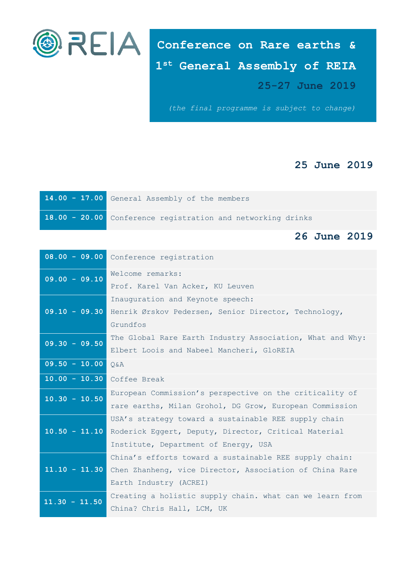

**Conference on Rare earths & 1 st General Assembly of REIA 25-27 June 2019**

*(the final programme is subject to change)*

## **25 June 2019**

| 14.00 - 17.00 General Assembly of the members               |
|-------------------------------------------------------------|
| 18.00 - 20.00 Conference registration and networking drinks |

## **26 June 2019**

|                 | 08.00 - 09.00 Conference registration                     |
|-----------------|-----------------------------------------------------------|
| $09.00 - 09.10$ | Welcome remarks:                                          |
|                 | Prof. Karel Van Acker, KU Leuven                          |
| $09.10 - 09.30$ | Inauguration and Keynote speech:                          |
|                 | Henrik Ørskov Pedersen, Senior Director, Technology,      |
|                 | Grundfos                                                  |
| $09.30 - 09.50$ | The Global Rare Earth Industry Association, What and Why: |
|                 | Elbert Loois and Nabeel Mancheri, GloREIA                 |
| $09.50 - 10.00$ | $Q\&A$                                                    |
| $10.00 - 10.30$ | Coffee Break                                              |
| $10.30 - 10.50$ | European Commission's perspective on the criticality of   |
|                 | rare earths, Milan Grohol, DG Grow, European Commission   |
| $10.50 - 11.10$ | USA's strategy toward a sustainable REE supply chain      |
|                 | Roderick Eqqert, Deputy, Director, Critical Material      |
|                 | Institute, Department of Energy, USA                      |
|                 | China's efforts toward a sustainable REE supply chain:    |
| $11.10 - 11.30$ | Chen Zhanheng, vice Director, Association of China Rare   |
|                 | Earth Industry (ACREI)                                    |
| $11.30 - 11.50$ | Creating a holistic supply chain. what can we learn from  |
|                 | China? Chris Hall, LCM, UK                                |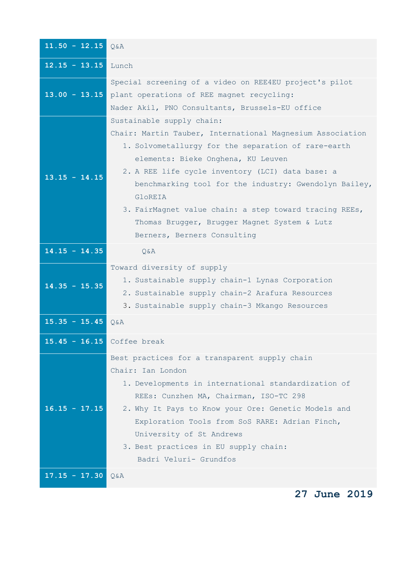| $11.50 - 12.15$ | Q&A                                                                                                                                                                                                                                                                                                                                                                                                                                                  |
|-----------------|------------------------------------------------------------------------------------------------------------------------------------------------------------------------------------------------------------------------------------------------------------------------------------------------------------------------------------------------------------------------------------------------------------------------------------------------------|
| $12.15 - 13.15$ | Lunch                                                                                                                                                                                                                                                                                                                                                                                                                                                |
| $13.00 - 13.15$ | Special screening of a video on REE4EU project's pilot<br>plant operations of REE magnet recycling:<br>Nader Akil, PNO Consultants, Brussels-EU office                                                                                                                                                                                                                                                                                               |
| $13.15 - 14.15$ | Sustainable supply chain:<br>Chair: Martin Tauber, International Magnesium Association<br>1. Solvometallurgy for the separation of rare-earth<br>elements: Bieke Onghena, KU Leuven<br>2. A REE life cycle inventory (LCI) data base: a<br>benchmarking tool for the industry: Gwendolyn Bailey,<br>GloREIA<br>3. FairMagnet value chain: a step toward tracing REEs,<br>Thomas Brugger, Brugger Magnet System & Lutz<br>Berners, Berners Consulting |
| $14.15 - 14.35$ | Q&A                                                                                                                                                                                                                                                                                                                                                                                                                                                  |
| $14.35 - 15.35$ | Toward diversity of supply<br>1. Sustainable supply chain-1 Lynas Corporation<br>2. Sustainable supply chain-2 Arafura Resources<br>3. Sustainable supply chain-3 Mkango Resources                                                                                                                                                                                                                                                                   |
| $15.35 - 15.45$ | $Q$ & $A$                                                                                                                                                                                                                                                                                                                                                                                                                                            |
| $15.45 - 16.15$ | Coffee break                                                                                                                                                                                                                                                                                                                                                                                                                                         |
| $16.15 - 17.15$ | Best practices for a transparent supply chain<br>Chair: Ian London<br>1. Developments in international standardization of<br>REEs: Cunzhen MA, Chairman, ISO-TC 298<br>2. Why It Pays to Know your Ore: Genetic Models and<br>Exploration Tools from SoS RARE: Adrian Finch,<br>University of St Andrews<br>3. Best practices in EU supply chain:<br>Badri Veluri- Grundfos                                                                          |
| $17.15 - 17.30$ | Q&A                                                                                                                                                                                                                                                                                                                                                                                                                                                  |
|                 | 27 June 2019                                                                                                                                                                                                                                                                                                                                                                                                                                         |